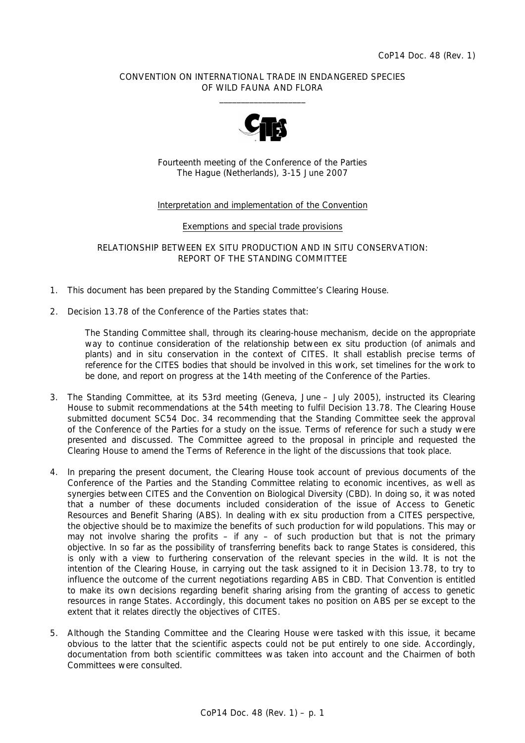### CONVENTION ON INTERNATIONAL TRADE IN ENDANGERED SPECIES OF WILD FAUNA AND FLORA  $\frac{1}{2}$  , and the set of the set of the set of the set of the set of the set of the set of the set of the set of the set of the set of the set of the set of the set of the set of the set of the set of the set of the set



Fourteenth meeting of the Conference of the Parties The Hague (Netherlands), 3-15 June 2007

### Interpretation and implementation of the Convention

#### Exemptions and special trade provisions

RELATIONSHIP BETWEEN *EX SITU* PRODUCTION AND *IN SITU* CONSERVATION: REPORT OF THE STANDING COMMITTEE

- 1. This document has been prepared by the Standing Committee's Clearing House.
- 2. Decision 13.78 of the Conference of the Parties states that:

 *The Standing Committee shall, through its clearing-house mechanism, decide on the appropriate way to continue consideration of the relationship between* ex situ *production (of animals and plants) and* in situ *conservation in the context of CITES. It shall establish precise terms of reference for the CITES bodies that should be involved in this work, set timelines for the work to be done, and report on progress at the 14th meeting of the Conference of the Parties.* 

- 3. The Standing Committee, at its 53rd meeting (Geneva, June July 2005), instructed its Clearing House to submit recommendations at the 54th meeting to fulfil Decision 13.78. The Clearing House submitted document SC54 Doc. 34 recommending that the Standing Committee seek the approval of the Conference of the Parties for a study on the issue. Terms of reference for such a study were presented and discussed. The Committee agreed to the proposal in principle and requested the Clearing House to amend the Terms of Reference in the light of the discussions that took place.
- 4. In preparing the present document, the Clearing House took account of previous documents of the Conference of the Parties and the Standing Committee relating to economic incentives, as well as synergies between CITES and the Convention on Biological Diversity (CBD). In doing so, it was noted that a number of these documents included consideration of the issue of Access to Genetic Resources and Benefit Sharing (ABS). In dealing with *ex situ* production from a CITES perspective, the objective should be to maximize the benefits of such production for wild populations. This may or may not involve sharing the profits – if any – of such production but that is not the primary objective. In so far as the possibility of transferring benefits back to range States is considered, this is only with a view to furthering conservation of the relevant species in the wild. It is not the intention of the Clearing House, in carrying out the task assigned to it in Decision 13.78, to try to influence the outcome of the current negotiations regarding ABS in CBD. That Convention is entitled to make its own decisions regarding benefit sharing arising from the granting of access to genetic resources in range States. Accordingly, this document takes no position on ABS *per se* except to the extent that it relates directly the objectives of CITES.
- 5. Although the Standing Committee and the Clearing House were tasked with this issue, it became obvious to the latter that the scientific aspects could not be put entirely to one side. Accordingly, documentation from both scientific committees was taken into account and the Chairmen of both Committees were consulted.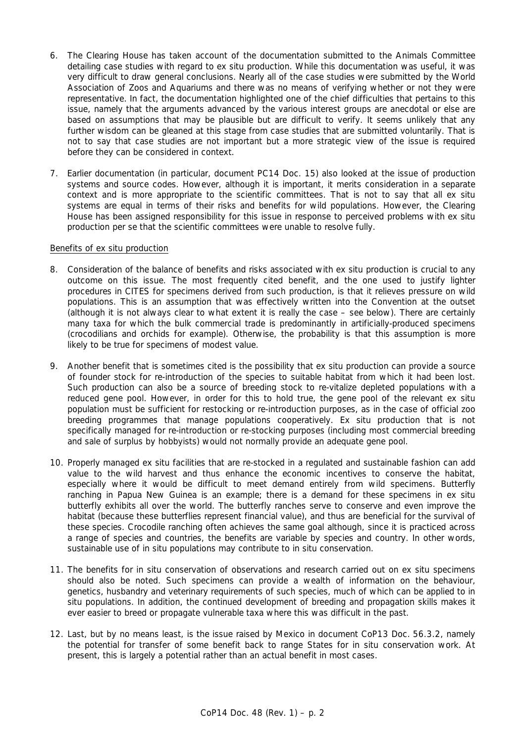- 6. The Clearing House has taken account of the documentation submitted to the Animals Committee detailing case studies with regard to *ex situ* production. While this documentation was useful, it was very difficult to draw general conclusions. Nearly all of the case studies were submitted by the World Association of Zoos and Aquariums and there was no means of verifying whether or not they were representative. In fact, the documentation highlighted one of the chief difficulties that pertains to this issue, namely that the arguments advanced by the various interest groups are anecdotal or else are based on assumptions that may be plausible but are difficult to verify. It seems unlikely that any further wisdom can be gleaned at this stage from case studies that are submitted voluntarily. That is not to say that case studies are not important but a more strategic view of the issue is required before they can be considered in context.
- 7. Earlier documentation (in particular, document PC14 Doc. 15) also looked at the issue of production systems and source codes. However, although it is important, it merits consideration in a separate context and is more appropriate to the scientific committees. That is not to say that all *ex situ* systems are equal in terms of their risks and benefits for wild populations. However, the Clearing House has been assigned responsibility for this issue in response to perceived problems with *ex situ* production *per se* that the scientific committees were unable to resolve fully.

# Benefits of *ex situ* production

- 8. Consideration of the balance of benefits and risks associated with *ex situ* production is crucial to any outcome on this issue. The most frequently cited benefit, and the one used to justify lighter procedures in CITES for specimens derived from such production, is that it relieves pressure on wild populations. This is an assumption that was effectively written into the Convention at the outset (although it is not always clear to what extent it is really the case – see below). There are certainly many taxa for which the bulk commercial trade is predominantly in artificially-produced specimens (crocodilians and orchids for example). Otherwise, the probability is that this assumption is more likely to be true for specimens of modest value.
- 9. Another benefit that is sometimes cited is the possibility that *ex situ* production can provide a source of founder stock for re-introduction of the species to suitable habitat from which it had been lost. Such production can also be a source of breeding stock to re-vitalize depleted populations with a reduced gene pool. However, in order for this to hold true, the gene pool of the relevant *ex situ* population must be sufficient for restocking or re-introduction purposes, as in the case of official zoo breeding programmes that manage populations cooperatively. *Ex situ* production that is not specifically managed for re-introduction or re-stocking purposes (including most commercial breeding and sale of surplus by hobbyists) would not normally provide an adequate gene pool.
- 10. Properly managed *ex situ* facilities that are re-stocked in a regulated and sustainable fashion can add value to the wild harvest and thus enhance the economic incentives to conserve the habitat, especially where it would be difficult to meet demand entirely from wild specimens. Butterfly ranching in Papua New Guinea is an example; there is a demand for these specimens in *ex situ* butterfly exhibits all over the world. The butterfly ranches serve to conserve and even improve the habitat (because these butterflies represent financial value), and thus are beneficial for the survival of these species. Crocodile ranching often achieves the same goal although, since it is practiced across a range of species and countries, the benefits are variable by species and country. In other words, sustainable use of *in situ* populations may contribute to *in situ* conservation.
- 11. The benefits for *in situ* conservation of observations and research carried out on *ex situ* specimens should also be noted. Such specimens can provide a wealth of information on the behaviour, genetics, husbandry and veterinary requirements of such species, much of which can be applied to *in situ* populations. In addition, the continued development of breeding and propagation skills makes it ever easier to breed or propagate vulnerable taxa where this was difficult in the past.
- 12. Last, but by no means least, is the issue raised by Mexico in document CoP13 Doc. 56.3.2, namely the potential for transfer of some benefit back to range States for *in situ* conservation work. At present, this is largely a potential rather than an actual benefit in most cases.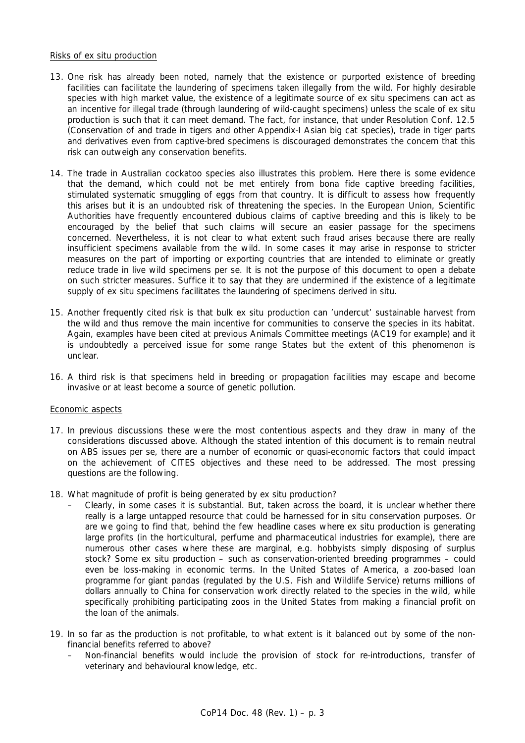### Risks of *ex situ* production

- 13. One risk has already been noted, namely that the existence or purported existence of breeding facilities can facilitate the laundering of specimens taken illegally from the wild. For highly desirable species with high market value, the existence of a legitimate source of *ex situ* specimens can act as an incentive for illegal trade (through laundering of wild-caught specimens) unless the scale of *ex situ* production is such that it can meet demand. The fact, for instance, that under Resolution Conf. 12.5 (Conservation of and trade in tigers and other Appendix-I Asian big cat species), trade in tiger parts and derivatives even from captive-bred specimens is discouraged demonstrates the concern that this risk can outweigh any conservation benefits.
- 14. The trade in Australian cockatoo species also illustrates this problem. Here there is some evidence that the demand, which could not be met entirely from *bona fide* captive breeding facilities, stimulated systematic smuggling of eggs from that country. It is difficult to assess how frequently this arises but it is an undoubted risk of threatening the species. In the European Union, Scientific Authorities have frequently encountered dubious claims of captive breeding and this is likely to be encouraged by the belief that such claims will secure an easier passage for the specimens concerned. Nevertheless, it is not clear to what extent such fraud arises because there are really insufficient specimens available from the wild. In some cases it may arise in response to stricter measures on the part of importing or exporting countries that are intended to eliminate or greatly reduce trade in live wild specimens *per se*. It is not the purpose of this document to open a debate on such stricter measures. Suffice it to say that they are undermined if the existence of a legitimate supply of *ex situ* specimens facilitates the laundering of specimens derived *in situ*.
- 15. Another frequently cited risk is that bulk *ex situ* production can 'undercut' sustainable harvest from the wild and thus remove the main incentive for communities to conserve the species in its habitat. Again, examples have been cited at previous Animals Committee meetings (AC19 for example) and it is undoubtedly a perceived issue for some range States but the extent of this phenomenon is unclear.
- 16. A third risk is that specimens held in breeding or propagation facilities may escape and become invasive or at least become a source of genetic pollution.

#### Economic aspects

- 17. In previous discussions these were the most contentious aspects and they draw in many of the considerations discussed above. Although the stated intention of this document is to remain neutral on ABS issues *per se*, there are a number of economic or quasi-economic factors that could impact on the achievement of CITES objectives and these need to be addressed. The most pressing questions are the following.
- 18. What magnitude of profit is being generated by *ex situ* production?
	- Clearly, in some cases it is substantial. But, taken across the board, it is unclear whether there really is a large untapped resource that could be harnessed for *in situ* conservation purposes. Or are we going to find that, behind the few headline cases where *ex situ* production is generating large profits (in the horticultural, perfume and pharmaceutical industries for example), there are numerous other cases where these are marginal, e.g. hobbyists simply disposing of surplus stock? Some *ex situ* production – such as conservation-oriented breeding programmes – could even be loss-making in economic terms. In the United States of America, a zoo-based loan programme for giant pandas (regulated by the U.S. Fish and Wildlife Service) returns millions of dollars annually to China for conservation work directly related to the species in the wild, while specifically prohibiting participating zoos in the United States from making a financial profit on the loan of the animals.
- 19. In so far as the production is not profitable, to what extent is it balanced out by some of the nonfinancial benefits referred to above?
	- Non-financial benefits would include the provision of stock for re-introductions, transfer of veterinary and behavioural knowledge, etc.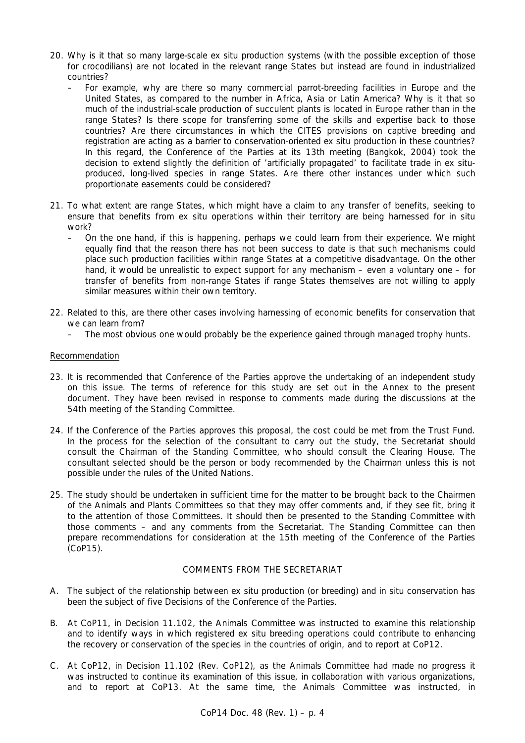- 20. Why is it that so many large-scale *ex situ* production systems (with the possible exception of those for crocodilians) are not located in the relevant range States but instead are found in industrialized countries?
	- For example, why are there so many commercial parrot-breeding facilities in Europe and the United States, as compared to the number in Africa, Asia or Latin America? Why is it that so much of the industrial-scale production of succulent plants is located in Europe rather than in the range States? Is there scope for transferring some of the skills and expertise back to those countries? Are there circumstances in which the CITES provisions on captive breeding and registration are acting as a barrier to conservation-oriented *ex situ* production in these countries? In this regard, the Conference of the Parties at its 13th meeting (Bangkok, 2004) took the decision to extend slightly the definition of 'artificially propagated' to facilitate trade in *ex situ*produced, long-lived species in range States. Are there other instances under which such proportionate easements could be considered?
- 21. To what extent are range States, which might have a claim to any transfer of benefits, seeking to ensure that benefits from *ex situ* operations within their territory are being harnessed for *in situ* work?
	- On the one hand, if this is happening, perhaps we could learn from their experience. We might equally find that the reason there has not been success to date is that such mechanisms could place such production facilities within range States at a competitive disadvantage. On the other hand, it would be unrealistic to expect support for any mechanism – even a voluntary one – for transfer of benefits from non-range States if range States themselves are not willing to apply similar measures within their own territory.
- 22. Related to this, are there other cases involving harnessing of economic benefits for conservation that we can learn from?
	- The most obvious one would probably be the experience gained through managed trophy hunts.

# Recommendation

- 23. It is recommended that Conference of the Parties approve the undertaking of an independent study on this issue. The terms of reference for this study are set out in the Annex to the present document. They have been revised in response to comments made during the discussions at the 54th meeting of the Standing Committee.
- 24. If the Conference of the Parties approves this proposal, the cost could be met from the Trust Fund. In the process for the selection of the consultant to carry out the study, the Secretariat should consult the Chairman of the Standing Committee, who should consult the Clearing House. The consultant selected should be the person or body recommended by the Chairman unless this is not possible under the rules of the United Nations.
- 25. The study should be undertaken in sufficient time for the matter to be brought back to the Chairmen of the Animals and Plants Committees so that they may offer comments and, if they see fit, bring it to the attention of those Committees. It should then be presented to the Standing Committee with those comments – and any comments from the Secretariat. The Standing Committee can then prepare recommendations for consideration at the 15th meeting of the Conference of the Parties (CoP15).

# COMMENTS FROM THE SECRETARIAT

- A. The subject of the relationship between *ex situ* production (or breeding) and *in situ* conservation has been the subject of five Decisions of the Conference of the Parties.
- B. At CoP11, in Decision 11.102, the Animals Committee was instructed to examine this relationship and to identify ways in which registered *ex situ* breeding operations could contribute to enhancing the recovery or conservation of the species in the countries of origin, and to report at CoP12.
- C. At CoP12, in Decision 11.102 (Rev. CoP12), as the Animals Committee had made no progress it was instructed to continue its examination of this issue, in collaboration with various organizations, and to report at CoP13. At the same time, the Animals Committee was instructed, in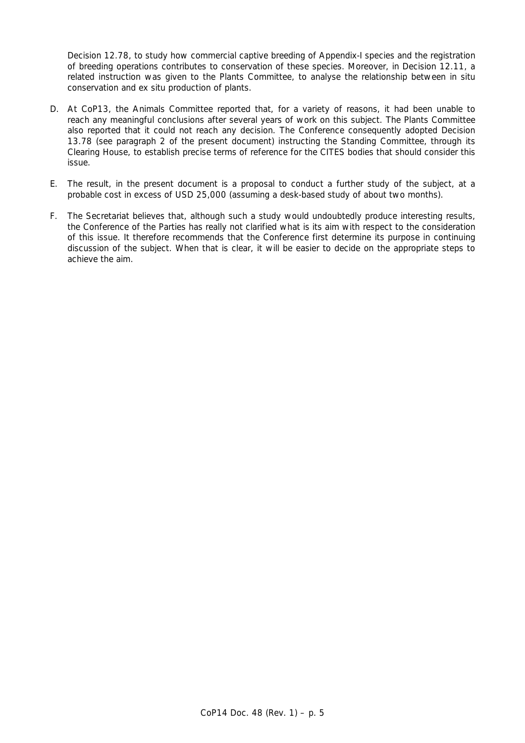Decision 12.78, to study how commercial captive breeding of Appendix-I species and the registration of breeding operations contributes to conservation of these species. Moreover, in Decision 12.11, a related instruction was given to the Plants Committee, to analyse the relationship between in situ conservation and ex situ production of plants.

- D. At CoP13, the Animals Committee reported that, for a variety of reasons, it had been unable to reach any meaningful conclusions after several years of work on this subject. The Plants Committee also reported that it could not reach any decision. The Conference consequently adopted Decision 13.78 (see paragraph 2 of the present document) instructing the Standing Committee, through its Clearing House, to establish precise terms of reference for the CITES bodies that should consider this issue.
- E. The result, in the present document is a proposal to conduct a further study of the subject, at a probable cost in excess of USD 25,000 (assuming a desk-based study of about two months).
- F. The Secretariat believes that, although such a study would undoubtedly produce interesting results, the Conference of the Parties has really not clarified what is its aim with respect to the consideration of this issue. It therefore recommends that the Conference first determine its purpose in continuing discussion of the subject. When that is clear, it will be easier to decide on the appropriate steps to achieve the aim.